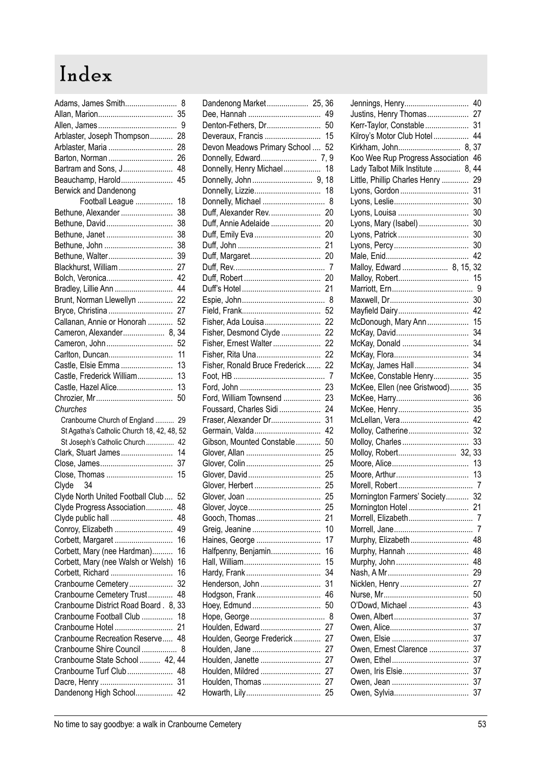## Index

| Adams, James Smith                         | 8   |
|--------------------------------------------|-----|
|                                            | 35  |
|                                            | 9   |
| Arblaster, Joseph Thompson                 | 28  |
| Arblaster, Maria                           | 28  |
| Barton, Norman                             | 26  |
| Bartram and Sons, J                        | 48  |
| Beauchamp, Harold                          | 45  |
| Berwick and Dandenong                      |     |
| Football League                            | 18  |
| Bethune, Alexander                         | 38  |
| Bethune, David                             | 38  |
| Bethune, Janet                             | 38  |
| Bethune, John                              | 38  |
| Bethune, Walter                            | 39  |
| Blackhurst, William                        | 27  |
| Bolch, Veronica                            | 42  |
| Bradley, Lillie Ann                        | 44  |
| Brunt, Norman Llewellyn                    | 22  |
| Bryce, Christina                           | 27  |
| Callanan, Annie or Honorah                 | 52  |
| Cameron, Alexander 8, 34                   |     |
| Cameron, John                              | 52  |
| Carlton, Duncan                            | 11  |
| Castle, Elsie Emma                         | 13  |
| Castle, Frederick William                  | 13  |
| Castle, Hazel Alice                        | 13  |
|                                            | 50  |
| Churches                                   |     |
|                                            | 29  |
| Cranbourne Church of England               |     |
| St Agatha's Catholic Church 18, 42, 48, 52 |     |
| St Joseph's Catholic Church                | 42  |
| Clark, Stuart James                        | 14  |
|                                            | 37  |
| Close, Thomas                              | 15  |
| Clyde<br>- 34                              |     |
| Clyde North United Football Club           | 52  |
| Clyde Progress Association                 | 48  |
| Clyde public hall                          | 48  |
| Conroy, Elizabeth                          | 49  |
| Corbett, Margaret                          | 16  |
| Corbett, Mary (nee Hardman)                | 16  |
| Corbett, Mary (nee Walsh or Welsh)         | 16  |
| Corbett, Richard                           | 16  |
| Cranbourne Cemetery                        | 32  |
| Cranbourne Cemetery Trust                  | 48  |
| Cranbourne District Road Board. 8,         | 33  |
| Cranbourne Football Club                   | 18  |
| Cranbourne Hotel                           | 21  |
| Cranbourne Recreation Reserve              | 48  |
| Cranbourne Shire Council                   | - 8 |
| Cranbourne State School  42, 44            |     |
| Cranbourne Turf Club                       | 48  |
|                                            | 31  |
| Dandenong High School                      | 42  |

| Dandenong Market 25, 36          |    |
|----------------------------------|----|
|                                  | 49 |
| Denton-Fethers, Dr 50            |    |
| Deveraux, Francis  15            |    |
| Devon Meadows Primary School  52 |    |
|                                  |    |
| Donnelly, Henry Michael          | 18 |
|                                  |    |
| Donnelly, Lizzie                 | 18 |
|                                  |    |
|                                  |    |
| Duff, Alexander Rev.  20         |    |
| Duff, Annie Adelaide  20         |    |
| Duff, Emily Eva                  | 20 |
|                                  | 21 |
| Duff, Margaret                   | 20 |
|                                  |    |
|                                  | 20 |
|                                  |    |
|                                  |    |
|                                  | 52 |
| Fisher, Ada Louisa               | 22 |
| Fisher, Desmond Clyde            | 22 |
| Fisher, Ernest Walter            | 22 |
| Fisher, Rita Una                 | 22 |
| Fisher, Ronald Bruce Frederick   | 22 |
|                                  |    |
|                                  | 23 |
|                                  |    |
| Ford, William Townsend           | 23 |
| Foussard, Charles Sidi           | 24 |
| Fraser, Alexander Dr             | 31 |
| Germain, Valda                   | 42 |
| Gibson, Mounted Constable        | 50 |
|                                  | 25 |
|                                  | 25 |
|                                  | 25 |
| Glover, Herbert                  | 25 |
|                                  | 25 |
|                                  | 25 |
| Gooch, Thomas                    | 21 |
| Greig, Jeanine                   | 10 |
| Haines, George                   | 17 |
| Halfpenny, Benjamin              | 16 |
|                                  | 15 |
|                                  | 34 |
|                                  | 31 |
| Henderson, John                  |    |
| Hodgson, Frank                   | 46 |
| Hoey, Edmund                     | 50 |
|                                  | 8  |
| Houlden, Edward                  | 27 |
| Houlden, George Frederick        | 27 |
| Houlden, Jane                    | 27 |
| Houlden, Janette                 | 27 |
| Houlden, Mildred                 | 27 |
| Houlden, Thomas                  | 27 |
|                                  | 25 |
|                                  |    |

| Jennings, Henry                   | 40             |
|-----------------------------------|----------------|
| Justins, Henry Thomas             | 27             |
| Kerr-Taylor, Constable            | 31             |
| Kilroy's Motor Club Hotel         | 44             |
| Kirkham, John 8, 37               |                |
| Koo Wee Rup Progress Association  | 46             |
| Lady Talbot Milk Institute  8, 44 |                |
| Little, Phillip Charles Henry     | 29             |
| Lyons, Gordon                     | 31             |
|                                   | 30             |
| Lyons, Louisa                     | 30             |
| Lyons, Mary (Isabel)              | 30             |
|                                   | 30             |
|                                   | 30             |
|                                   | 42             |
| Malloy, Edward  8, 15, 32         |                |
|                                   | 15             |
|                                   | 9              |
|                                   | 30             |
|                                   |                |
| Mayfield Dairy                    | 42             |
| McDonough, Mary Ann               | 15             |
|                                   | 34             |
| McKay, Donald                     | 34             |
|                                   | 34             |
| McKay, James Hall                 | 34             |
| McKee, Constable Henry            | 35             |
| McKee, Ellen (nee Gristwood)      | 35             |
|                                   | 36             |
| McKee, Henry                      | 35             |
| McLellan, Vera                    | 42             |
| Molloy, Catherine                 | 32             |
| Molloy, Charles                   | 33             |
| Molloy, Robert 32, 33             |                |
|                                   | 13             |
|                                   | 13             |
|                                   | $\overline{7}$ |
| Mornington Farmers' Society       | 32             |
| Mornington Hotel                  | 21             |
| Morrell, Elizabeth                | 7              |
|                                   | 7              |
| Murphy, Elizabeth                 | 48             |
| Murphy, Hannah                    | 48             |
| Murphy, John                      | 48             |
|                                   | 29             |
| Nicklen, Henry                    | 27             |
|                                   | 50             |
| O'Dowd, Michael                   | 43             |
|                                   | 37             |
|                                   | 37             |
|                                   | 37             |
| Owen, Ernest Clarence             | 37             |
|                                   | 37             |
| Owen, Iris Elsie                  | 37             |
|                                   | 37             |
|                                   | 37             |
|                                   |                |